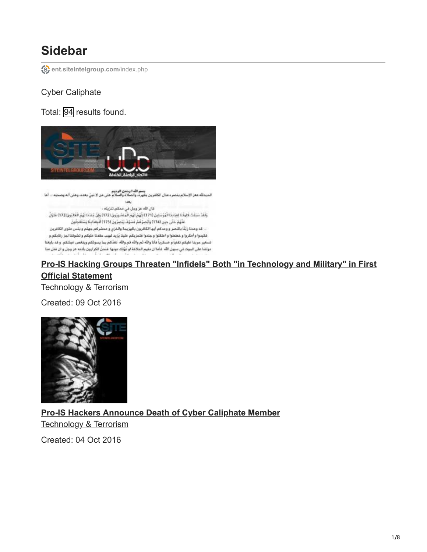# **Sidebar**

**[ent.siteintelgroup.com](https://ent.siteintelgroup.com/index.php?option=com_customproperties&view=search&task=tag&bind_to_category=content:37&tagId=697)**/index.php

#### Cyber Caliphate

Total: 94 results found.



يسم الرجالي المسلم بالمراجع المسلم الله المسم الله المسلم عن الأخير.<br>الحمدالله معز الإسلام بالصرم مدل الكاشرين بقهره، والصلاة والسلام على من لا نبيٍّ بعده، وعلى آله وصحبه ... أما **CARD** قال الله عز وجل في محكم تنزيله : وَلَقَدْ سَبَقَتْ كَلِمَتُنَا لِعِبَادِنَا الْمُرْسَلِينَ (171) إِنَّهُمْ لَهُمْ الْمَنصُورُونَ (172) وَانَّ جُندَنا لَهُمْ الْغَالِبُونَ(173) مُتَوَلِّ عَلَهُمْ حَتَّىٰ حِينِ (174) وَأَبْصِرْهُمْ فَسُوْفَ يُبْصِرُونَ (175) أَفْبِعَنَابِنَا يَسْتَعْجِلُونَ .. عَد وعدنا رَبُّنَا بالنصر و وعدكم أيها الكاغرون بالهزيمة والخزي و محشركم جهتم و بلس مثوى الكاغرين فكيدوا و أمكروا و خططوا و اعتقلوا و جندوا فتحزيكم علينا يُزيد لهيب حقدنا عليكم و تشوقنا لجز رقابكم و تسعير حربنا عليكم تقنياً و عسكرياً فأنا والله ثم والله ثم والله نعدُكم بما يسوئكم وينغص عيشكم. و قد بايعنا دولتنا على الموت في سبيل الله غاما ان نقيم الخلافة او تُهْلِك دونها غنمنُ الكرارون بأذنه عز وجل و ان مَتل منا

#### **[Pro-IS Hacking Groups Threaten "Infidels" Both "in Technology and Military" in First](https://ent.siteintelgroup.com/Dark-Web-and-Cyber-Security/pro-is-hacking-groups-threaten-infidels-in-technology-and-military-in-first-official-statement.html) Official Statement** Technology & Terrorism

Created: 09 Oct 2016



**[Pro-IS Hackers Announce Death of Cyber Caliphate Member](https://ent.siteintelgroup.com/Dark-Web-and-Cyber-Security/pro-is-hackers-announce-death-of-cyber-caliphate-member.html)** Technology & Terrorism

Created: 04 Oct 2016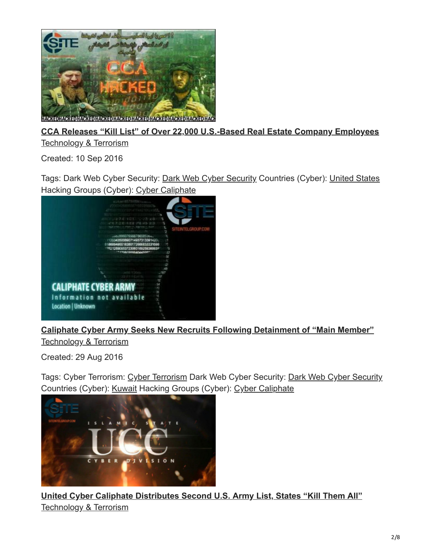

#### **[CCA Releases "Kill List" of Over 22,000 U.S.-Based Real Estate Company Employees](https://ent.siteintelgroup.com/Dark-Web-and-Cyber-Security/cca-releases-kill-list-of-over-22-000-u-s-based-real-estate-company-employees.html)** Technology & Terrorism

Created: 10 Sep 2016

Tags: Dark Web Cyber Security: [Dark Web Cyber Security](https://ent.siteintelgroup.com/index.php?option=com_customproperties&view=search&task=tag&tagName=Dark%20Web%20%20Cyber%20Security:Dark-Web--Cyber-Security) Countries (Cyber): [United States](https://ent.siteintelgroup.com/index.php?option=com_customproperties&view=search&task=tag&tagName=Countries%20(Cyber):United-States) Hacking Groups (Cyber): [Cyber Caliphate](https://ent.siteintelgroup.com/index.php?option=com_customproperties&view=search&task=tag&tagName=Hacking%20Groups%20(Cyber):Cyber-Caliphate)



## **[Caliphate Cyber Army Seeks New Recruits Following Detainment of "Main Member"](https://ent.siteintelgroup.com/Dark-Web-and-Cyber-Security/caliphate-cyber-army-seeks-new-recruits-following-detainment-of-main-member.html)**

Technology & Terrorism

Created: 29 Aug 2016

Tags: [Cyber Terrorism](https://ent.siteintelgroup.com/index.php?option=com_customproperties&view=search&task=tag&tagName=Cyber%20Terrorism:Cyber-Terrorism): Cyber Terrorism [Dark Web Cyber Security](https://ent.siteintelgroup.com/index.php?option=com_customproperties&view=search&task=tag&tagName=Dark%20Web%20%20Cyber%20Security:Dark-Web--Cyber-Security): Dark Web Cyber Security Countries (Cyber): [Kuwait](https://ent.siteintelgroup.com/index.php?option=com_customproperties&view=search&task=tag&tagName=Countries%20(Cyber):Kuwait) Hacking Groups (Cyber): [Cyber Caliphate](https://ent.siteintelgroup.com/index.php?option=com_customproperties&view=search&task=tag&tagName=Hacking%20Groups%20(Cyber):Cyber-Caliphate)



**[United Cyber Caliphate Distributes Second U.S. Army List, States "Kill Them All"](https://ent.siteintelgroup.com/Dark-Web-and-Cyber-Security/united-cyber-caliphate-distributes-second-u-s-army-list-states-kill-them-all-2.html)** Technology & Terrorism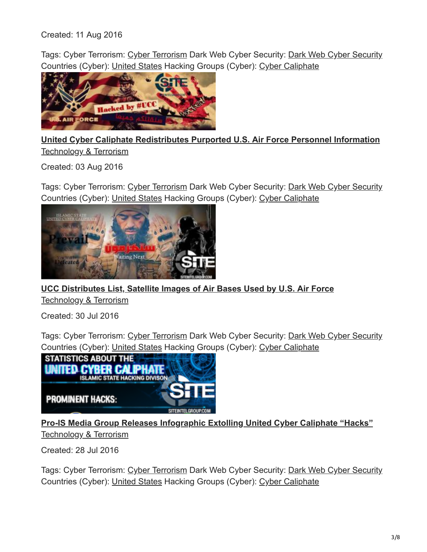Created: 11 Aug 2016

Tags: Cyber Terrorism: [Cyber Terrorism](https://ent.siteintelgroup.com/index.php?option=com_customproperties&view=search&task=tag&tagName=Cyber%20Terrorism:Cyber-Terrorism) Dark Web Cyber Security: [Dark Web Cyber Security](https://ent.siteintelgroup.com/index.php?option=com_customproperties&view=search&task=tag&tagName=Dark%20Web%20%20Cyber%20Security:Dark-Web--Cyber-Security) Countries (Cyber): [United States](https://ent.siteintelgroup.com/index.php?option=com_customproperties&view=search&task=tag&tagName=Countries%20(Cyber):United-States) Hacking Groups (Cyber): [Cyber Caliphate](https://ent.siteintelgroup.com/index.php?option=com_customproperties&view=search&task=tag&tagName=Hacking%20Groups%20(Cyber):Cyber-Caliphate)



**[United Cyber Caliphate Redistributes Purported U.S. Air Force Personnel Information](https://ent.siteintelgroup.com/Dark-Web-and-Cyber-Security/united-cyber-caliphate-redistributes-purported-u-s-air-force-personnel-information.html)** Technology & Terrorism

Created: 03 Aug 2016

Tags: [Cyber Terrorism](https://ent.siteintelgroup.com/index.php?option=com_customproperties&view=search&task=tag&tagName=Cyber%20Terrorism:Cyber-Terrorism): Cyber Terrorism [Dark Web Cyber Security](https://ent.siteintelgroup.com/index.php?option=com_customproperties&view=search&task=tag&tagName=Dark%20Web%20%20Cyber%20Security:Dark-Web--Cyber-Security): Dark Web Cyber Security Countries (Cyber): [United States](https://ent.siteintelgroup.com/index.php?option=com_customproperties&view=search&task=tag&tagName=Countries%20(Cyber):United-States) Hacking Groups (Cyber): [Cyber Caliphate](https://ent.siteintelgroup.com/index.php?option=com_customproperties&view=search&task=tag&tagName=Hacking%20Groups%20(Cyber):Cyber-Caliphate)



**[UCC Distributes List, Satellite Images of Air Bases Used by U.S. Air Force](https://ent.siteintelgroup.com/Dark-Web-and-Cyber-Security/ucc-distributes-list-satellite-images-of-air-bases-used-by-u-s-air-force.html)** Technology & Terrorism

Created: 30 Jul 2016

Tags: [Cyber Terrorism](https://ent.siteintelgroup.com/index.php?option=com_customproperties&view=search&task=tag&tagName=Cyber%20Terrorism:Cyber-Terrorism): Cyber Terrorism [Dark Web Cyber Security](https://ent.siteintelgroup.com/index.php?option=com_customproperties&view=search&task=tag&tagName=Dark%20Web%20%20Cyber%20Security:Dark-Web--Cyber-Security): Dark Web Cyber Security Countries (Cyber): [United States](https://ent.siteintelgroup.com/index.php?option=com_customproperties&view=search&task=tag&tagName=Countries%20(Cyber):United-States) Hacking Groups (Cyber): [Cyber Caliphate](https://ent.siteintelgroup.com/index.php?option=com_customproperties&view=search&task=tag&tagName=Hacking%20Groups%20(Cyber):Cyber-Caliphate)



**[Pro-IS Media Group Releases Infographic Extolling United Cyber Caliphate "Hacks"](https://ent.siteintelgroup.com/Dark-Web-and-Cyber-Security/pro-is-media-group-releases-infographic-extolling-united-cyber-caliphate-hacks.html)** Technology & Terrorism

Created: 28 Jul 2016

Tags: [Cyber Terrorism](https://ent.siteintelgroup.com/index.php?option=com_customproperties&view=search&task=tag&tagName=Cyber%20Terrorism:Cyber-Terrorism): Cyber Terrorism [Dark Web Cyber Security](https://ent.siteintelgroup.com/index.php?option=com_customproperties&view=search&task=tag&tagName=Dark%20Web%20%20Cyber%20Security:Dark-Web--Cyber-Security): Dark Web Cyber Security Countries (Cyber): [United States](https://ent.siteintelgroup.com/index.php?option=com_customproperties&view=search&task=tag&tagName=Countries%20(Cyber):United-States) Hacking Groups (Cyber): [Cyber Caliphate](https://ent.siteintelgroup.com/index.php?option=com_customproperties&view=search&task=tag&tagName=Hacking%20Groups%20(Cyber):Cyber-Caliphate)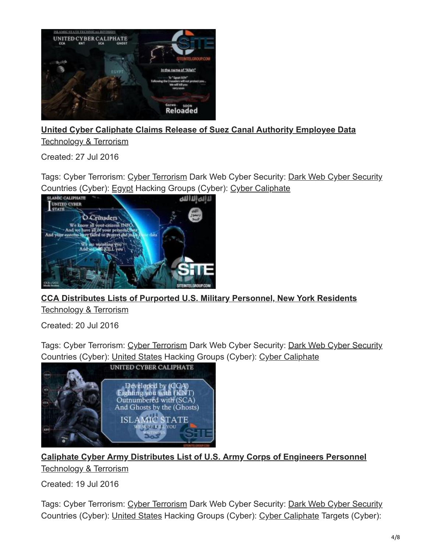

#### **[United Cyber Caliphate Claims Release of Suez Canal Authority Employee Data](https://ent.siteintelgroup.com/Dark-Web-and-Cyber-Security/united-cyber-caliphate-claims-release-of-suez-canal-authority-employee-data.html)** Technology & Terrorism

Created: 27 Jul 2016

Tags: Cyber Terrorism: [Cyber Terrorism](https://ent.siteintelgroup.com/index.php?option=com_customproperties&view=search&task=tag&tagName=Cyber%20Terrorism:Cyber-Terrorism) Dark Web Cyber Security: [Dark Web Cyber Security](https://ent.siteintelgroup.com/index.php?option=com_customproperties&view=search&task=tag&tagName=Dark%20Web%20%20Cyber%20Security:Dark-Web--Cyber-Security) Countries (Cyber): [Egypt](https://ent.siteintelgroup.com/index.php?option=com_customproperties&view=search&task=tag&tagName=Countries%20(Cyber):Egypt) Hacking Groups (Cyber): [Cyber Caliphate](https://ent.siteintelgroup.com/index.php?option=com_customproperties&view=search&task=tag&tagName=Hacking%20Groups%20(Cyber):Cyber-Caliphate)



**[CCA Distributes Lists of Purported U.S. Military Personnel, New York Residents](https://ent.siteintelgroup.com/Dark-Web-and-Cyber-Security/cca-distributes-lists-of-purported-u-s-military-personnel-new-york-residents.html)** Technology & Terrorism

Created: 20 Jul 2016

Tags: Cyber Terrorism: [Cyber Terrorism](https://ent.siteintelgroup.com/index.php?option=com_customproperties&view=search&task=tag&tagName=Cyber%20Terrorism:Cyber-Terrorism) Dark Web Cyber Security: [Dark Web Cyber Security](https://ent.siteintelgroup.com/index.php?option=com_customproperties&view=search&task=tag&tagName=Dark%20Web%20%20Cyber%20Security:Dark-Web--Cyber-Security) Countries (Cyber): [United States](https://ent.siteintelgroup.com/index.php?option=com_customproperties&view=search&task=tag&tagName=Countries%20(Cyber):United-States) Hacking Groups (Cyber): [Cyber Caliphate](https://ent.siteintelgroup.com/index.php?option=com_customproperties&view=search&task=tag&tagName=Hacking%20Groups%20(Cyber):Cyber-Caliphate)



**[Caliphate Cyber Army Distributes List of U.S. Army Corps of Engineers Personnel](https://ent.siteintelgroup.com/Dark-Web-and-Cyber-Security/caliphate-cyber-army-distributes-list-of-u-s-army-corps-of-engineers-personnel.html)** Technology & Terrorism

Created: 19 Jul 2016

Tags: Cyber Terrorism: [Cyber Terrorism](https://ent.siteintelgroup.com/index.php?option=com_customproperties&view=search&task=tag&tagName=Cyber%20Terrorism:Cyber-Terrorism) Dark Web Cyber Security: [Dark Web Cyber Security](https://ent.siteintelgroup.com/index.php?option=com_customproperties&view=search&task=tag&tagName=Dark%20Web%20%20Cyber%20Security:Dark-Web--Cyber-Security) Countries (Cyber): [United States](https://ent.siteintelgroup.com/index.php?option=com_customproperties&view=search&task=tag&tagName=Countries%20(Cyber):United-States) Hacking Groups (Cyber): [Cyber Caliphate](https://ent.siteintelgroup.com/index.php?option=com_customproperties&view=search&task=tag&tagName=Hacking%20Groups%20(Cyber):Cyber-Caliphate) Targets (Cyber):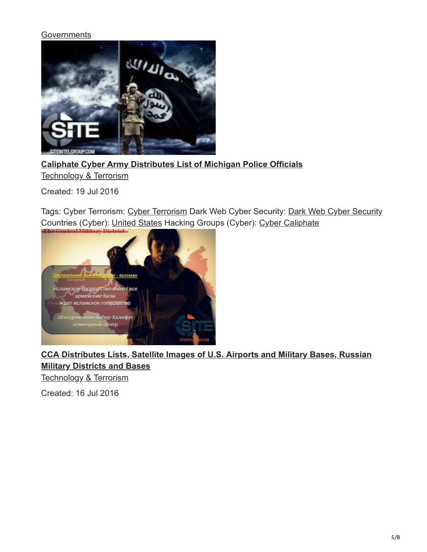#### **[Governments](https://ent.siteintelgroup.com/index.php?option=com_customproperties&view=search&task=tag&tagName=Targets%20(Cyber):Governments)**



**[Caliphate Cyber Army Distributes List of Michigan Police Officials](https://ent.siteintelgroup.com/Dark-Web-and-Cyber-Security/caliphate-cyber-army-distributes-list-of-michigan-police-officials.html)**

Technology & Terrorism

Created: 19 Jul 2016

Tags: Cyber Terrorism: [Cyber Terrorism](https://ent.siteintelgroup.com/index.php?option=com_customproperties&view=search&task=tag&tagName=Cyber%20Terrorism:Cyber-Terrorism) Dark Web Cyber Security: [Dark Web Cyber Security](https://ent.siteintelgroup.com/index.php?option=com_customproperties&view=search&task=tag&tagName=Dark%20Web%20%20Cyber%20Security:Dark-Web--Cyber-Security) Countries (Cyber): [United States](https://ent.siteintelgroup.com/index.php?option=com_customproperties&view=search&task=tag&tagName=Countries%20(Cyber):United-States) Hacking Groups (Cyber): [Cyber Caliphate](https://ent.siteintelgroup.com/index.php?option=com_customproperties&view=search&task=tag&tagName=Hacking%20Groups%20(Cyber):Cyber-Caliphate)



## **[CCA Distributes Lists, Satellite Images of U.S. Airports and Military Bases, Russian](https://ent.siteintelgroup.com/Dark-Web-and-Cyber-Security/cca-distributes-lists-satellite-images-of-u-s-airports-and-military-bases-russian-military-districts-and-bases.html) Military Districts and Bases**

Technology & Terrorism

Created: 16 Jul 2016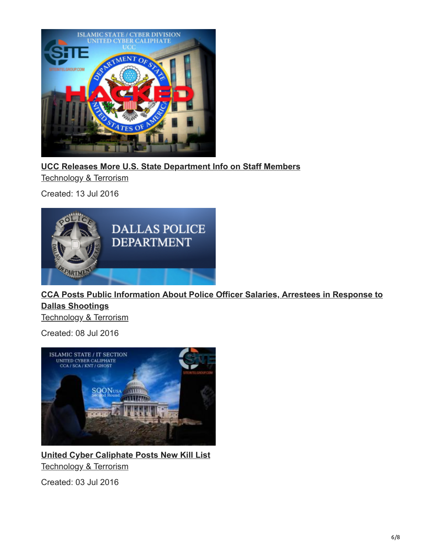![](_page_5_Picture_0.jpeg)

**[UCC Releases More U.S. State Department Info on Staff Members](https://ent.siteintelgroup.com/Dark-Web-and-Cyber-Security/ucc-releases-more-u-s-state-department-info-on-staff-members.html)**

Technology & Terrorism

Created: 13 Jul 2016

![](_page_5_Picture_4.jpeg)

# **[CCA Posts Public Information About Police Officer Salaries, Arrestees in Response to](https://ent.siteintelgroup.com/Dark-Web-and-Cyber-Security/cca-posts-public-information-about-police-officer-salaries-arrestees-in-response-to-dallas-shootings.html) Dallas Shootings**

Technology & Terrorism

Created: 08 Jul 2016

![](_page_5_Picture_8.jpeg)

**[United Cyber Caliphate Posts New Kill List](https://ent.siteintelgroup.com/Dark-Web-and-Cyber-Security/united-cyber-caliphate-post-new-kill-list.html)** Technology & Terrorism

Created: 03 Jul 2016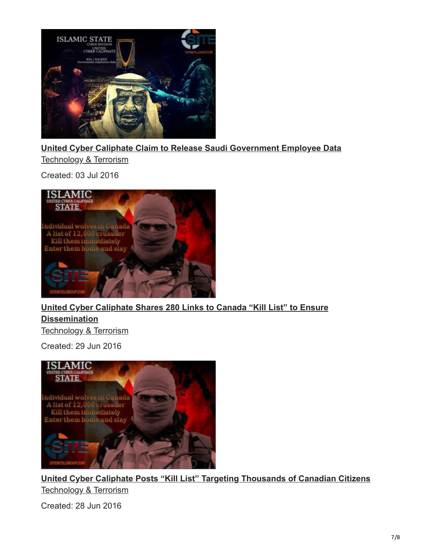![](_page_6_Picture_0.jpeg)

**[United Cyber Caliphate Claim to Release Saudi Government Employee Data](https://ent.siteintelgroup.com/Dark-Web-and-Cyber-Security/united-cyber-caliphate-claim-to-release-saudi-government-employee-data.html)** Technology & Terrorism

Created: 03 Jul 2016

![](_page_6_Picture_3.jpeg)

**[United Cyber Caliphate Shares 280 Links to Canada "Kill List" to Ensure](https://ent.siteintelgroup.com/Dark-Web-and-Cyber-Security/united-cyber-caliphate-shares-280-links-to-canada-kill-list-to-ensure-dissemination.html) Dissemination** Technology & Terrorism

Created: 29 Jun 2016

![](_page_6_Picture_6.jpeg)

**[United Cyber Caliphate Posts "Kill List" Targeting Thousands of Canadian Citizens](https://ent.siteintelgroup.com/Dark-Web-and-Cyber-Security/united-cyber-caliphate-posts-kill-list-targeting-thousands-of-canadian-citizens.html)** Technology & Terrorism

Created: 28 Jun 2016